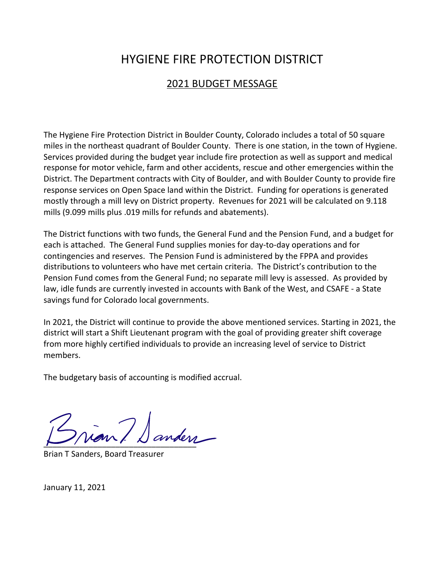# HYGIENE FIRE PROTECTION DISTRICT

## 2021 BUDGET MESSAGE

The Hygiene Fire Protection District in Boulder County, Colorado includes a total of 50 square miles in the northeast quadrant of Boulder County. There is one station, in the town of Hygiene. Services provided during the budget year include fire protection as well as support and medical response for motor vehicle, farm and other accidents, rescue and other emergencies within the District. The Department contracts with City of Boulder, and with Boulder County to provide fire response services on Open Space land within the District. Funding for operations is generated mostly through a mill levy on District property. Revenues for 2021 will be calculated on 9.118 mills (9.099 mills plus .019 mills for refunds and abatements).

The District functions with two funds, the General Fund and the Pension Fund, and a budget for each is attached. The General Fund supplies monies for day-to-day operations and for contingencies and reserves. The Pension Fund is administered by the FPPA and provides distributions to volunteers who have met certain criteria. The District's contribution to the Pension Fund comes from the General Fund; no separate mill levy is assessed. As provided by law, idle funds are currently invested in accounts with Bank of the West, and CSAFE - a State savings fund for Colorado local governments.

In 2021, the District will continue to provide the above mentioned services. Starting in 2021, the district will start a Shift Lieutenant program with the goal of providing greater shift coverage from more highly certified individuals to provide an increasing level of service to District members.

The budgetary basis of accounting is modified accrual.

 $\overline{\phantom{a}}$ 

Brian T Sanders, Board Treasurer

January 11, 2021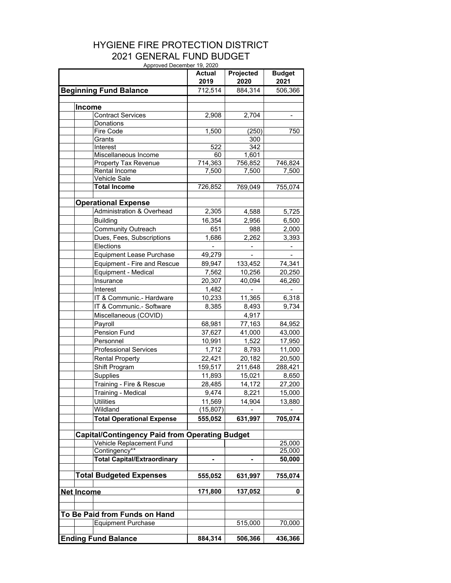#### HYGIENE FIRE PROTECTION DISTRICT 2021 GENERAL FUND BUDGET Approved December 19, 2020

|               | Approved December 19, 2020                            | Actual<br>2019 | Projected<br>2020 | <b>Budget</b><br>2021    |
|---------------|-------------------------------------------------------|----------------|-------------------|--------------------------|
|               | <b>Beginning Fund Balance</b>                         | 712,514        | 884,314           | 506,366                  |
|               |                                                       |                |                   |                          |
| <b>Income</b> |                                                       |                |                   |                          |
|               | <b>Contract Services</b>                              | 2,908          | 2,704             | $\overline{\phantom{0}}$ |
|               | Donations                                             |                |                   |                          |
|               | Fire Code                                             | 1,500          | (250)             | 750                      |
|               | Grants                                                |                | $\overline{300}$  |                          |
|               | Interest                                              | 522            | 342               |                          |
|               | Miscellaneous Income                                  | 60             | 1,601             |                          |
|               | Property Tax Revenue                                  | 714,363        | 756,852           | 746,824                  |
|               | Rental Income                                         | 7,500          | 7,500             | 7,500                    |
|               | Vehicle Sale                                          |                |                   |                          |
|               | <b>Total Income</b>                                   | 726,852        | 769,049           | 755,074                  |
|               | <b>Operational Expense</b>                            |                |                   |                          |
|               | Administration & Overhead                             | 2,305          | 4,588             | 5,725                    |
|               | <b>Building</b>                                       | 16,354         | 2,956             | 6,500                    |
|               | Community Outreach                                    | 651            | 988               | 2,000                    |
|               | Dues, Fees, Subscriptions                             | 1,686          | 2,262             | 3,393                    |
|               | Elections                                             |                |                   |                          |
|               | <b>Equipment Lease Purchase</b>                       | 49,279         |                   |                          |
|               | Equipment - Fire and Rescue                           | 89,947         | 133,452           | 74,341                   |
|               | Equipment - Medical                                   | 7,562          | 10,256            | 20,250                   |
|               | Insurance                                             | 20,307         | 40,094            | 46,260                   |
|               | Interest                                              | 1,482          |                   |                          |
|               | IT & Communic.- Hardware                              | 10,233         | 11,365            | 6,318                    |
|               | IT & Communic.- Software                              | 8,385          | 8,493             | 9,734                    |
|               | Miscellaneous (COVID)                                 |                | 4,917             |                          |
|               | Payroll                                               | 68,981         | 77,163            | 84,952                   |
|               | Pension Fund                                          | 37,627         | 41,000            | 43,000                   |
|               | Personnel                                             | 10,991         | 1,522             | 17,950                   |
|               | <b>Professional Services</b>                          | 1,712          | 8,793             | 11,000                   |
|               | <b>Rental Property</b>                                | 22,421         | 20,182            | 20,500                   |
|               | Shift Program                                         | 159,517        | 211,648           | 288,421                  |
|               | Supplies                                              | 11,893         | 15,021            | 8,650                    |
|               | Training - Fire & Rescue                              | 28,485         | 14,172            | 27,200                   |
|               | Training - Medical                                    | 9,474          | 8,221             | 15,000                   |
|               | <b>Utilities</b>                                      | 11,569         | 14,904            | 13,880                   |
|               | Wildland                                              | (15, 807)      |                   |                          |
|               | <b>Total Operational Expense</b>                      | 555,052        | 631,997           | 705,074                  |
|               |                                                       |                |                   |                          |
|               | <b>Capital/Contingency Paid from Operating Budget</b> |                |                   |                          |
|               | Vehicle Replacement Fund                              |                |                   | 25,000                   |
|               | Contingency**                                         |                |                   | 25,000                   |
|               | <b>Total Capital/Extraordinary</b>                    |                |                   | 50,000                   |
|               | <b>Total Budgeted Expenses</b>                        | 555,052        | 631,997           | 755,074                  |
|               |                                                       |                |                   |                          |
| Net Income    |                                                       | 171,800        | 137,052           | 0                        |
|               |                                                       |                |                   |                          |
|               | To Be Paid from Funds on Hand                         |                |                   |                          |
|               | <b>Equipment Purchase</b>                             |                | 515,000           | 70,000                   |
|               |                                                       |                |                   |                          |
|               | <b>Ending Fund Balance</b>                            | 884,314        | 506,366           | 436,366                  |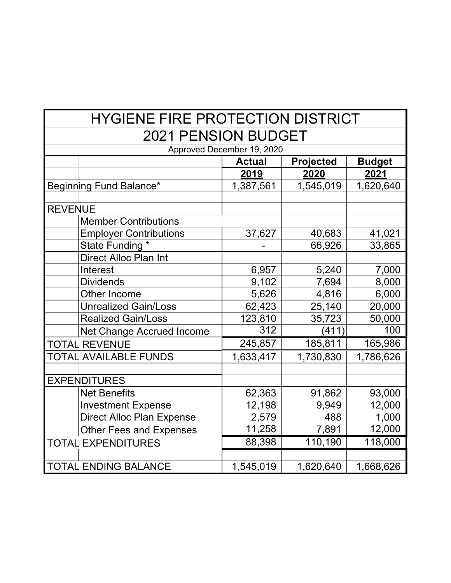# HYGIENE FIRE PROTECTION DISTRICT 2021 PENSION BUDGET

| Approved December 19, 2020       |               |                  |               |  |  |  |  |
|----------------------------------|---------------|------------------|---------------|--|--|--|--|
|                                  | <b>Actual</b> | <b>Projected</b> | <b>Budget</b> |  |  |  |  |
|                                  | <u> 2019</u>  | <u>2020</u>      | <u>2021</u>   |  |  |  |  |
| Beginning Fund Balance*          | 1,387,561     | 1,545,019        | 1,620,640     |  |  |  |  |
|                                  |               |                  |               |  |  |  |  |
| <b>REVENUE</b>                   |               |                  |               |  |  |  |  |
| <b>Member Contributions</b>      |               |                  |               |  |  |  |  |
| <b>Employer Contributions</b>    | 37,627        | 40,683           | 41,021        |  |  |  |  |
| State Funding *                  |               | 66,926           | 33,865        |  |  |  |  |
| Direct Alloc Plan Int            |               |                  |               |  |  |  |  |
| Interest                         | 6,957         | 5,240            | 7,000         |  |  |  |  |
| <b>Dividends</b>                 | 9,102         | 7,694            | 8,000         |  |  |  |  |
| Other Income                     | 5,626         | 4,816            | 6,000         |  |  |  |  |
| <b>Unrealized Gain/Loss</b>      | 62,423        | 25,140           | 20,000        |  |  |  |  |
| <b>Realized Gain/Loss</b>        | 123,810       | 35,723           | 50,000        |  |  |  |  |
| <b>Net Change Accrued Income</b> | 312           | (411)            | 100           |  |  |  |  |
| <b>TOTAL REVENUE</b>             | 245,857       | 185,811          | 165,986       |  |  |  |  |
| <b>TOTAL AVAILABLE FUNDS</b>     | 1,633,417     | 1,730,830        | 1,786,626     |  |  |  |  |
|                                  |               |                  |               |  |  |  |  |
| <b>EXPENDITURES</b>              |               |                  |               |  |  |  |  |
| <b>Net Benefits</b>              | 62,363        | 91,862           | 93,000        |  |  |  |  |
| <b>Investment Expense</b>        | 12,198        | 9,949            | 12,000        |  |  |  |  |
| <b>Direct Alloc Plan Expense</b> | 2,579         | 488              | 1,000         |  |  |  |  |
| <b>Other Fees and Expenses</b>   | 11,258        | 7,891            | 12,000        |  |  |  |  |
| <b>TOTAL EXPENDITURES</b>        | 88,398        | 110,190          | 118,000       |  |  |  |  |
|                                  |               |                  |               |  |  |  |  |
| <b>TOTAL ENDING BALANCE</b>      | 1,545,019     | 1,620,640        | 1,668,626     |  |  |  |  |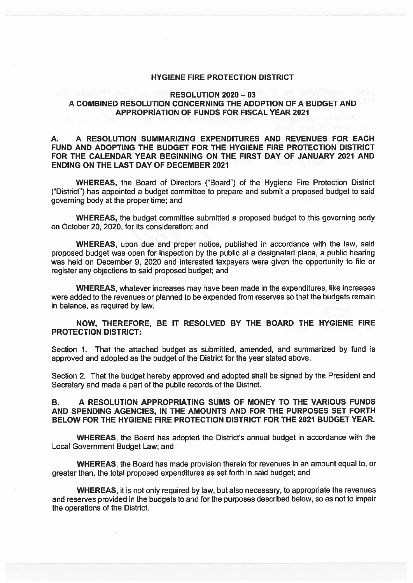#### **HYGIENE FIRE PROTECTION DISTRICT**

### **RESOLUTION 2020 - 03** A COMBINED RESOLUTION CONCERNING THE ADOPTION OF A BUDGET AND **APPROPRIATION OF FUNDS FOR FISCAL YEAR 2021**

#### A RESOLUTION SUMMARIZING EXPENDITURES AND REVENUES FOR EACH А. FUND AND ADOPTING THE BUDGET FOR THE HYGIENE FIRE PROTECTION DISTRICT FOR THE CALENDAR YEAR BEGINNING ON THE FIRST DAY OF JANUARY 2021 AND **ENDING ON THE LAST DAY OF DECEMBER 2021**

**WHEREAS, the Board of Directors ("Board") of the Hygiene Fire Protection District** ("District") has appointed a budget committee to prepare and submit a proposed budget to said governing body at the proper time; and

**WHEREAS, the budget committee submitted a proposed budget to this governing body** on October 20, 2020, for its consideration; and

**WHEREAS**, upon due and proper notice, published in accordance with the law, said proposed budget was open for inspection by the public at a designated place, a public hearing was held on December 9, 2020 and interested taxpayers were given the opportunity to file or register any objections to said proposed budget; and

WHEREAS, whatever increases may have been made in the expenditures, like increases were added to the revenues or planned to be expended from reserves so that the budgets remain in balance, as required by law.

## NOW, THEREFORE, BE IT RESOLVED BY THE BOARD THE HYGIENE FIRE **PROTECTION DISTRICT:**

Section 1. That the attached budget as submitted, amended, and summarized by fund is approved and adopted as the budget of the District for the year stated above.

Section 2. That the budget hereby approved and adopted shall be signed by the President and Secretary and made a part of the public records of the District.

#### A RESOLUTION APPROPRIATING SUMS OF MONEY TO THE VARIOUS FUNDS **B.** AND SPENDING AGENCIES. IN THE AMOUNTS AND FOR THE PURPOSES SET FORTH BELOW FOR THE HYGIENE FIRE PROTECTION DISTRICT FOR THE 2021 BUDGET YEAR.

**WHEREAS**, the Board has adopted the District's annual budget in accordance with the Local Government Budget Law; and

**WHEREAS**, the Board has made provision therein for revenues in an amount equal to, or greater than, the total proposed expenditures as set forth in said budget; and

WHEREAS, it is not only required by law, but also necessary, to appropriate the revenues and reserves provided in the budgets to and for the purposes described below, so as not to impair the operations of the District.